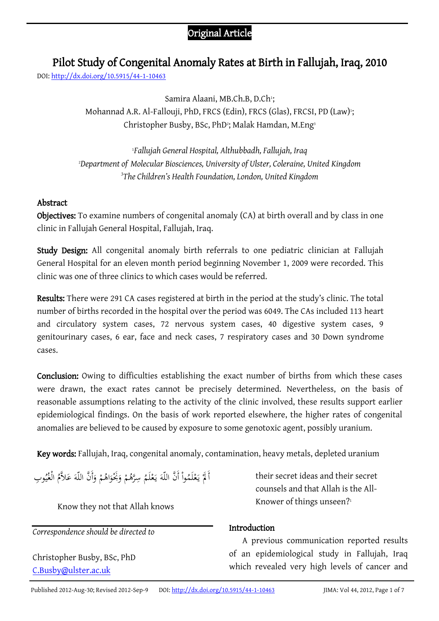# Original Article

# Pilot Study of Congenital Anomaly Rates at Birth in Fallujah, Iraq, 2010

DOI[: http://dx.doi.org/10.5915/44-1-10463](http://dx.doi.org/10.5915/44-1-10463)

Samira Alaani, MB.Ch.B, D.Ch<sup>1</sup>; Mohannad A.R. Al-Fallouji, PhD, FRCS (Edin), FRCS (Glas), FRCSI, PD (Law)<sup>,</sup>; Christopher Busby, BSc, PhD<sup>2</sup>; Malak Hamdan, M.Eng<sup>3</sup>

<sup>1</sup>*Fallujah General Hospital, Althubbadh, Fallujah, Iraq* <sup>2</sup>*Department of Molecular Biosciences, University of Ulster, Coleraine, United Kingdom 3 The Children's Health Foundation, London, United Kingdom*

# Abstract

Objectives: To examine numbers of congenital anomaly (CA) at birth overall and by class in one clinic in Fallujah General Hospital, Fallujah, Iraq.

Study Design: All congenital anomaly birth referrals to one pediatric clinician at Fallujah General Hospital for an eleven month period beginning November 1, 2009 were recorded. This clinic was one of three clinics to which cases would be referred.

Results: There were 291 CA cases registered at birth in the period at the study's clinic. The total number of births recorded in the hospital over the period was 6049. The CAs included 113 heart and circulatory system cases, 72 nervous system cases, 40 digestive system cases, 9 genitourinary cases, 6 ear, face and neck cases, 7 respiratory cases and 30 Down syndrome cases.

Conclusion: Owing to difficulties establishing the exact number of births from which these cases were drawn, the exact rates cannot be precisely determined. Nevertheless, on the basis of reasonable assumptions relating to the activity of the clinic involved, these results support earlier epidemiological findings. On the basis of work reported elsewhere, the higher rates of congenital anomalies are believed to be caused by exposure to some genotoxic agent, possibly uranium.

Key words: Fallujah, Iraq, congenital anomaly, contamination, heavy metals, depleted uranium

ا<br>ا أَ لَمْ يَعْلَمُواْ أَنَّ اللّهَ يَعْلَمُ سِرَّهُمْ وَبُخْوَاهُمْ وَأَنَّ اللّهَ عَلاَّمُ الْغُيُوبِ ْ ب<br>:  $\overline{\phantom{a}}$ ً<br>م َ  $\mathfrak{g}$ َ َ ْ ْ يا<br>. َ ي

Know they not that Allah knows

*Correspondence should be directed to*

Christopher Busby, BSc, PhD [C.Busby@ulster.ac.uk](http://www.google.com/recaptcha/mailhide/d?k=01tk0wNbqYUro2SWaZAnMfKQ==&c=-cADeZVgcel3EMBhwvXbf3oL9S_gSYBOvyuasy5oICQ=)

their secret ideas and their secret counsels and that Allah is the All-Knower of things unseen? 1

## Introduction

A previous communication reported results of an epidemiological study in Fallujah, Iraq which revealed very high levels of cancer and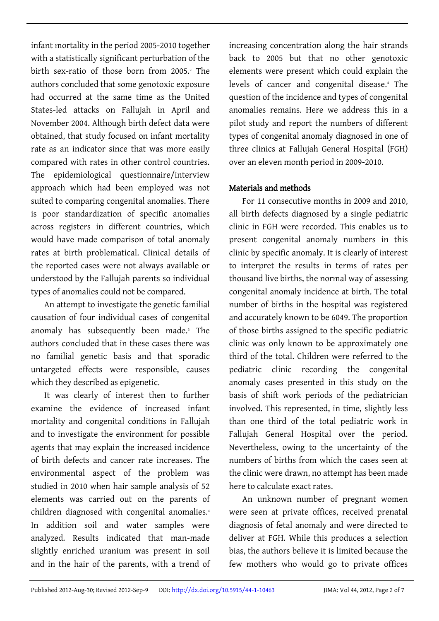infant mortality in the period 2005-2010 together with a statistically significant perturbation of the birth sex-ratio of those born from 2005.<sup>2</sup> The authors concluded that some genotoxic exposure had occurred at the same time as the United States-led attacks on Fallujah in April and November 2004. Although birth defect data were obtained, that study focused on infant mortality rate as an indicator since that was more easily compared with rates in other control countries. The epidemiological questionnaire/interview approach which had been employed was not suited to comparing congenital anomalies. There is poor standardization of specific anomalies across registers in different countries, which would have made comparison of total anomaly rates at birth problematical. Clinical details of the reported cases were not always available or understood by the Fallujah parents so individual types of anomalies could not be compared.

An attempt to investigate the genetic familial causation of four individual cases of congenital anomaly has subsequently been made.<sup>3</sup> The authors concluded that in these cases there was no familial genetic basis and that sporadic untargeted effects were responsible, causes which they described as epigenetic.

It was clearly of interest then to further examine the evidence of increased infant mortality and congenital conditions in Fallujah and to investigate the environment for possible agents that may explain the increased incidence of birth defects and cancer rate increases. The environmental aspect of the problem was studied in 2010 when hair sample analysis of 52 elements was carried out on the parents of children diagnosed with congenital anomalies.<sup>4</sup> In addition soil and water samples were analyzed. Results indicated that man-made slightly enriched uranium was present in soil and in the hair of the parents, with a trend of increasing concentration along the hair strands back to 2005 but that no other genotoxic elements were present which could explain the levels of cancer and congenital disease.<sup>4</sup> The question of the incidence and types of congenital anomalies remains. Here we address this in a pilot study and report the numbers of different types of congenital anomaly diagnosed in one of three clinics at Fallujah General Hospital (FGH) over an eleven month period in 2009-2010.

# Materials and methods

For 11 consecutive months in 2009 and 2010, all birth defects diagnosed by a single pediatric clinic in FGH were recorded. This enables us to present congenital anomaly numbers in this clinic by specific anomaly. It is clearly of interest to interpret the results in terms of rates per thousand live births, the normal way of assessing congenital anomaly incidence at birth. The total number of births in the hospital was registered and accurately known to be 6049. The proportion of those births assigned to the specific pediatric clinic was only known to be approximately one third of the total. Children were referred to the pediatric clinic recording the congenital anomaly cases presented in this study on the basis of shift work periods of the pediatrician involved. This represented, in time, slightly less than one third of the total pediatric work in Fallujah General Hospital over the period. Nevertheless, owing to the uncertainty of the numbers of births from which the cases seen at the clinic were drawn, no attempt has been made here to calculate exact rates.

An unknown number of pregnant women were seen at private offices, received prenatal diagnosis of fetal anomaly and were directed to deliver at FGH. While this produces a selection bias, the authors believe it is limited because the few mothers who would go to private offices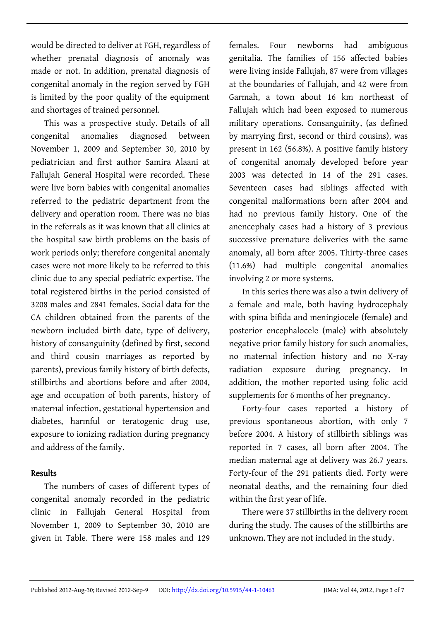would be directed to deliver at FGH, regardless of whether prenatal diagnosis of anomaly was made or not. In addition, prenatal diagnosis of congenital anomaly in the region served by FGH is limited by the poor quality of the equipment and shortages of trained personnel.

This was a prospective study. Details of all congenital anomalies diagnosed between November 1, 2009 and September 30, 2010 by pediatrician and first author Samira Alaani at Fallujah General Hospital were recorded. These were live born babies with congenital anomalies referred to the pediatric department from the delivery and operation room. There was no bias in the referrals as it was known that all clinics at the hospital saw birth problems on the basis of work periods only; therefore congenital anomaly cases were not more likely to be referred to this clinic due to any special pediatric expertise. The total registered births in the period consisted of 3208 males and 2841 females. Social data for the CA children obtained from the parents of the newborn included birth date, type of delivery, history of consanguinity (defined by first, second and third cousin marriages as reported by parents), previous family history of birth defects, stillbirths and abortions before and after 2004, age and occupation of both parents, history of maternal infection, gestational hypertension and diabetes, harmful or teratogenic drug use, exposure to ionizing radiation during pregnancy and address of the family.

#### Results

The numbers of cases of different types of congenital anomaly recorded in the pediatric clinic in Fallujah General Hospital from November 1, 2009 to September 30, 2010 are given in Table. There were 158 males and 129 females. Four newborns had ambiguous genitalia. The families of 156 affected babies were living inside Fallujah, 87 were from villages at the boundaries of Fallujah, and 42 were from Garmah, a town about 16 km northeast of Fallujah which had been exposed to numerous military operations. Consanguinity, (as defined by marrying first, second or third cousins), was present in 162 (56.8%). A positive family history of congenital anomaly developed before year 2003 was detected in 14 of the 291 cases. Seventeen cases had siblings affected with congenital malformations born after 2004 and had no previous family history. One of the anencephaly cases had a history of 3 previous successive premature deliveries with the same anomaly, all born after 2005. Thirty-three cases (11.6%) had multiple congenital anomalies involving 2 or more systems.

In this series there was also a twin delivery of a female and male, both having hydrocephaly with spina bifida and meningiocele (female) and posterior encephalocele (male) with absolutely negative prior family history for such anomalies, no maternal infection history and no X-ray radiation exposure during pregnancy. In addition, the mother reported using folic acid supplements for 6 months of her pregnancy.

Forty-four cases reported a history of previous spontaneous abortion, with only 7 before 2004. A history of stillbirth siblings was reported in 7 cases, all born after 2004. The median maternal age at delivery was 26.7 years. Forty-four of the 291 patients died. Forty were neonatal deaths, and the remaining four died within the first year of life.

There were 37 stillbirths in the delivery room during the study. The causes of the stillbirths are unknown. They are not included in the study.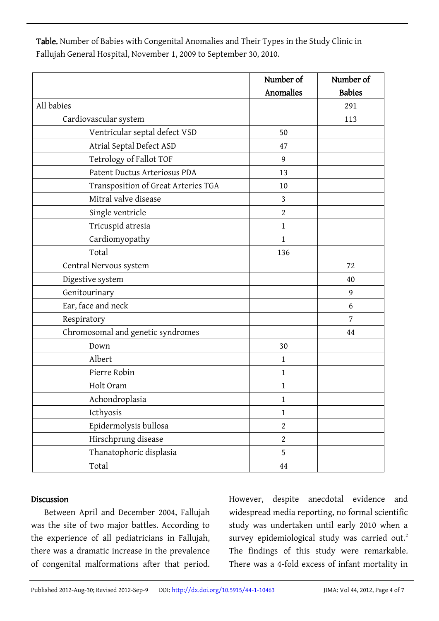Table. Number of Babies with Congenital Anomalies and Their Types in the Study Clinic in Fallujah General Hospital, November 1, 2009 to September 30, 2010.

|                                     | Number of      | Number of     |
|-------------------------------------|----------------|---------------|
|                                     | Anomalies      | <b>Babies</b> |
| All babies                          |                | 291           |
| Cardiovascular system               |                | 113           |
| Ventricular septal defect VSD       | 50             |               |
| Atrial Septal Defect ASD            | 47             |               |
| Tetrology of Fallot TOF             | 9              |               |
| Patent Ductus Arteriosus PDA        | 13             |               |
| Transposition of Great Arteries TGA | 10             |               |
| Mitral valve disease                | 3              |               |
| Single ventricle                    | $\overline{2}$ |               |
| Tricuspid atresia                   | $\mathbf{1}$   |               |
| Cardiomyopathy                      | $\mathbf{1}$   |               |
| Total                               | 136            |               |
| Central Nervous system              |                | 72            |
| Digestive system                    |                | 40            |
| Genitourinary                       |                | 9             |
| Ear, face and neck                  |                | 6             |
| Respiratory                         |                | 7             |
| Chromosomal and genetic syndromes   |                | 44            |
| Down                                | 30             |               |
| Albert                              | $\mathbf{1}$   |               |
| Pierre Robin                        | $\mathbf{1}$   |               |
| Holt Oram                           | $\mathbf{1}$   |               |
| Achondroplasia                      | $\mathbf{1}$   |               |
| Icthyosis                           | $\mathbf{1}$   |               |
| Epidermolysis bullosa               | $\overline{2}$ |               |
| Hirschprung disease                 | $\overline{2}$ |               |
| Thanatophoric displasia             | 5              |               |
| Total                               | 44             |               |

#### Discussion

Between April and December 2004, Fallujah was the site of two major battles. According to the experience of all pediatricians in Fallujah, there was a dramatic increase in the prevalence of congenital malformations after that period.

However, despite anecdotal evidence and widespread media reporting, no formal scientific study was undertaken until early 2010 when a survey epidemiological study was carried out.<sup>2</sup> The findings of this study were remarkable. There was a 4-fold excess of infant mortality in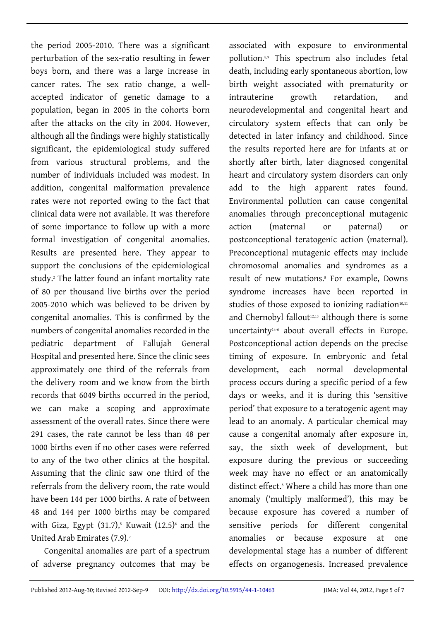the period 2005-2010. There was a significant perturbation of the sex-ratio resulting in fewer boys born, and there was a large increase in cancer rates. The sex ratio change, a wellaccepted indicator of genetic damage to a population, began in 2005 in the cohorts born after the attacks on the city in 2004. However, although all the findings were highly statistically significant, the epidemiological study suffered from various structural problems, and the number of individuals included was modest. In addition, congenital malformation prevalence rates were not reported owing to the fact that clinical data were not available. It was therefore of some importance to follow up with a more formal investigation of congenital anomalies. Results are presented here. They appear to support the conclusions of the epidemiological study.<sup>2</sup> The latter found an infant mortality rate of 80 per thousand live births over the period 2005-2010 which was believed to be driven by congenital anomalies. This is confirmed by the numbers of congenital anomalies recorded in the pediatric department of Fallujah General Hospital and presented here. Since the clinic sees approximately one third of the referrals from the delivery room and we know from the birth records that 6049 births occurred in the period, we can make a scoping and approximate assessment of the overall rates. Since there were 291 cases, the rate cannot be less than 48 per 1000 births even if no other cases were referred to any of the two other clinics at the hospital. Assuming that the clinic saw one third of the referrals from the delivery room, the rate would have been 144 per 1000 births. A rate of between 48 and 144 per 1000 births may be compared with Giza, Egypt  $(31.7)$ ,<sup>5</sup> Kuwait  $(12.5)$ <sup>6</sup> and the United Arab Emirates (7.9).<sup>7</sup>

Congenital anomalies are part of a spectrum of adverse pregnancy outcomes that may be

associated with exposure to environmental pollution.8,9 This spectrum also includes fetal death, including early spontaneous abortion, low birth weight associated with prematurity or intrauterine growth retardation, and neurodevelopmental and congenital heart and circulatory system effects that can only be detected in later infancy and childhood. Since the results reported here are for infants at or shortly after birth, later diagnosed congenital heart and circulatory system disorders can only add to the high apparent rates found. Environmental pollution can cause congenital anomalies through preconceptional mutagenic action (maternal or paternal) or postconceptional teratogenic action (maternal). Preconceptional mutagenic effects may include chromosomal anomalies and syndromes as a result of new mutations.<sup>8</sup> For example, Downs syndrome increases have been reported in studies of those exposed to ionizing radiation<sup>10,11</sup> and Chernobyl fallout<sup>12,13</sup> although there is some uncertainty14-6 about overall effects in Europe. Postconceptional action depends on the precise timing of exposure. In embryonic and fetal development, each normal developmental process occurs during a specific period of a few days or weeks, and it is during this 'sensitive period' that exposure to a teratogenic agent may lead to an anomaly. A particular chemical may cause a congenital anomaly after exposure in, say, the sixth week of development, but exposure during the previous or succeeding week may have no effect or an anatomically distinct effect.<sup>8</sup> Where a child has more than one anomaly ('multiply malformed'), this may be because exposure has covered a number of sensitive periods for different congenital anomalies or because exposure at one developmental stage has a number of different effects on organogenesis. Increased prevalence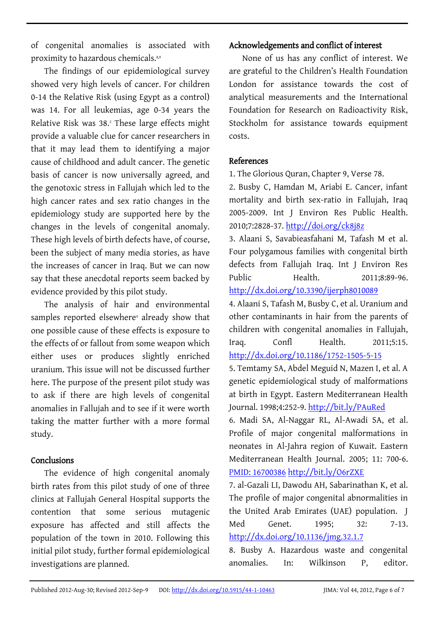of congenital anomalies is associated with proximity to hazardous chemicals.<sup>8,9</sup>

The findings of our epidemiological survey showed very high levels of cancer. For children 0-14 the Relative Risk (using Egypt as a control) was 14. For all leukemias, age 0-34 years the Relative Risk was 38.<sup>2</sup> These large effects might provide a valuable clue for cancer researchers in that it may lead them to identifying a major cause of childhood and adult cancer. The genetic basis of cancer is now universally agreed, and the genotoxic stress in Fallujah which led to the high cancer rates and sex ratio changes in the epidemiology study are supported here by the changes in the levels of congenital anomaly. These high levels of birth defects have, of course, been the subject of many media stories, as have the increases of cancer in Iraq. But we can now say that these anecdotal reports seem backed by evidence provided by this pilot study.

The analysis of hair and environmental samples reported elsewhere<sup>4</sup> already show that one possible cause of these effects is exposure to the effects of or fallout from some weapon which either uses or produces slightly enriched uranium. This issue will not be discussed further here. The purpose of the present pilot study was to ask if there are high levels of congenital anomalies in Fallujah and to see if it were worth taking the matter further with a more formal study.

#### Conclusions

The evidence of high congenital anomaly birth rates from this pilot study of one of three clinics at Fallujah General Hospital supports the contention that some serious mutagenic exposure has affected and still affects the population of the town in 2010. Following this initial pilot study, further formal epidemiological investigations are planned.

### Acknowledgements and conflict of interest

None of us has any conflict of interest. We are grateful to the Children's Health Foundation London for assistance towards the cost of analytical measurements and the International Foundation for Research on Radioactivity Risk, Stockholm for assistance towards equipment costs.

## References

1. The Glorious Quran, Chapter 9, Verse 78.

2. Busby C, Hamdan M, Ariabi E. Cancer, infant mortality and birth sex-ratio in Fallujah, Iraq 2005-2009. Int J Environ Res Public Health. 2010;7:2828-37. <http://doi.org/ck8j8z>

3. Alaani S, Savabieasfahani M, Tafash M et al. Four polygamous families with congenital birth defects from Fallujah Iraq. Int J Environ Res Public Health. 2011:8:89-96. <http://dx.doi.org/10.3390/ijerph8010089>

4. Alaani S, Tafash M, Busby C, et al. Uranium and other contaminants in hair from the parents of children with congenital anomalies in Fallujah, Iraq. Confl Health. 2011;5:15. <http://dx.doi.org/10.1186/1752-1505-5-15>

5. Temtamy SA, Abdel Meguid N, Mazen I, et al. A genetic epidemiological study of malformations at birth in Egypt. Eastern Mediterranean Health Journal. 1998;4:252-9. <http://bit.ly/PAuRed>

6. Madi SA, Al-Naggar RL, Al-Awadi SA, et al. Profile of major congenital malformations in neonates in Al-Jahra region of Kuwait. Eastern Mediterranean Health Journal. 2005; 11: 700-6. [PMID: 16700386](http://www.pubmed.gov/16700386) <http://bit.ly/O6rZXE>

7. al-Gazali LI, Dawodu AH, Sabarinathan K, et al. The profile of major congenital abnormalities in the United Arab Emirates (UAE) population. J Med Genet. 1995; 32: 7-13. <http://dx.doi.org/10.1136/jmg.32.1.7>

8. Busby A. Hazardous waste and congenital anomalies. In: Wilkinson P, editor.